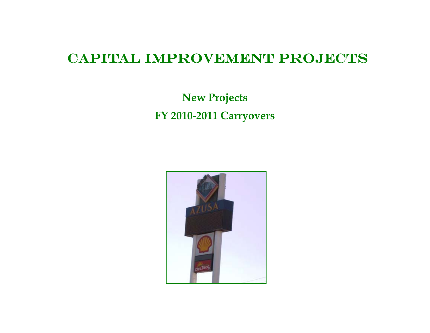## CAPITAL IMPROVEMENT PROJECTS

**New Projects FY 2010 ‐2011 Carryovers**

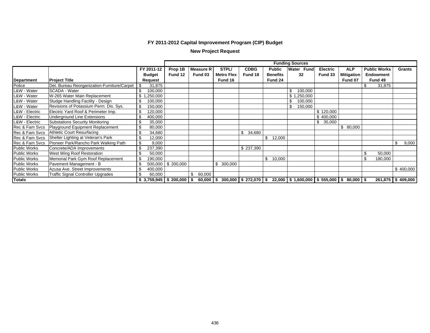## **FY 2011-2012 Capital Improvement Program (CIP) Budget**

**New Project Request**

|                     |                                                  |                            | <b>Funding Sources</b> |                  |                   |              |                 |                                                                             |                 |                   |                     |                   |  |
|---------------------|--------------------------------------------------|----------------------------|------------------------|------------------|-------------------|--------------|-----------------|-----------------------------------------------------------------------------|-----------------|-------------------|---------------------|-------------------|--|
|                     |                                                  | FY 2011-12                 | Prop 1B                | <b>Measure R</b> | STPL/             | <b>CDBG</b>  | <b>Public</b>   | <b>Water Fund</b>                                                           | <b>Electric</b> | <b>ALP</b>        | <b>Public Works</b> | Grants            |  |
|                     |                                                  | <b>Budget</b>              | Fund 12                | Fund 03          | <b>Metro Flex</b> | Fund 18      | <b>Benefits</b> | 32                                                                          | Fund 33         | <b>Mitigation</b> | <b>Endowment</b>    |                   |  |
| <b>Department</b>   | <b>Project Title</b>                             | Request                    |                        |                  | Fund 16           |              | Fund 24         |                                                                             |                 | Fund 07           | Fund 49             |                   |  |
| Police              | Det. Bureau Reorganization-Furniture/Carpet   \$ | 31,875                     |                        |                  |                   |              |                 |                                                                             |                 |                   | 31,875              |                   |  |
| L&W - Water         | SCADA - Water                                    | 100,000                    |                        |                  |                   |              |                 | \$<br>100,000                                                               |                 |                   |                     |                   |  |
| L&W - Water         | W-265 Water Main Replacement                     | ,250,000                   |                        |                  |                   |              |                 | \$1,250,000                                                                 |                 |                   |                     |                   |  |
| L&W - Water         | Sludge Handling Facility - Design                | 100,000                    |                        |                  |                   |              |                 | 100,000                                                                     |                 |                   |                     |                   |  |
| L&W - Water         | Revisions of Potassium Perm. Dis. Sys.           | \$<br>150,000              |                        |                  |                   |              |                 | \$<br>150,000                                                               |                 |                   |                     |                   |  |
| L&W - Electric      | Electric Yard Roof & Perimeter Imp.              | 120,000                    |                        |                  |                   |              |                 |                                                                             | \$120,000       |                   |                     |                   |  |
| L&W - Electric      | Underground Line Extensions                      | 400,000                    |                        |                  |                   |              |                 |                                                                             | \$400,000       |                   |                     |                   |  |
| L&W - Electric      | <b>Substations Security Monitoring</b>           | 35,000                     |                        |                  |                   |              |                 |                                                                             | \$<br>35,000    |                   |                     |                   |  |
| Rec & Fam Svcs      | Playground Equipment Replacement                 | 80,000                     |                        |                  |                   |              |                 |                                                                             |                 | 80,000            |                     |                   |  |
| Rec & Fam Svcs      | <b>Athletic Court Resurfacing</b>                | \$<br>34,680               |                        |                  |                   | \$<br>34,680 |                 |                                                                             |                 |                   |                     |                   |  |
| Rec & Fam Svcs      | Shelter Lighting at Veteran's Park               | 12,000                     |                        |                  |                   |              | 12,000<br>-S    |                                                                             |                 |                   |                     |                   |  |
| Rec & Fam Svcs      | Pioneer Park/Rancho Park Walking Path            | 9,000                      |                        |                  |                   |              |                 |                                                                             |                 |                   |                     | 9,000             |  |
| <b>Public Works</b> | Concrete/ADA Improvements                        | 237,390                    |                        |                  |                   | \$237,390    |                 |                                                                             |                 |                   |                     |                   |  |
| <b>Public Works</b> | West Wing Roof Restoration                       | 50,000                     |                        |                  |                   |              |                 |                                                                             |                 |                   | 50,000              |                   |  |
| <b>Public Works</b> | Memorial Park Gym Roof Replacement               | \$<br>190,000              |                        |                  |                   |              | 10,000<br>\$    |                                                                             |                 |                   | 180,000<br>\$       |                   |  |
| <b>Public Works</b> | Pavement Management - B                          |                            | 500,000   \$ 200,000   |                  | \$<br>300,000     |              |                 |                                                                             |                 |                   |                     |                   |  |
| <b>Public Works</b> | Azusa Ave. Street Improvements                   | 400,000                    |                        |                  |                   |              |                 |                                                                             |                 |                   |                     | \$400,000         |  |
| <b>Public Works</b> | <b>Traffic Signal Controller Upgrades</b>        | 60,000                     |                        | 60,000<br>\$     |                   |              |                 |                                                                             |                 |                   |                     |                   |  |
| <b>Totals</b>       |                                                  | $$3,759,945$ $$200,000$ \$ |                        |                  |                   |              |                 | 60,000 \$ 300,000 \$ 272,070 \$ 22,000 \$ 1,600,000 \$ 555,000 \$ 80,000 \$ |                 |                   |                     | 261,875 \$409,000 |  |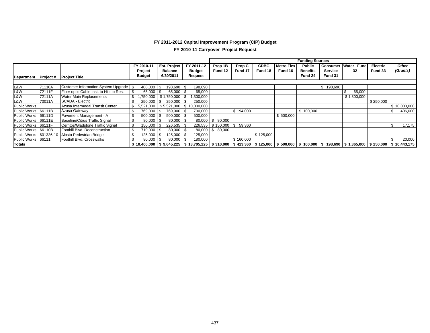## **FY 2011-2012 Capital Improvement Program (CIP) Budget**

**FY 2010-11 Carryover Project Request**

|                        |        |                                          |                   |                                                                                                                                                  |               | <b>Funding Sources</b>      |           |             |                   |                 |                       |             |                 |               |
|------------------------|--------|------------------------------------------|-------------------|--------------------------------------------------------------------------------------------------------------------------------------------------|---------------|-----------------------------|-----------|-------------|-------------------|-----------------|-----------------------|-------------|-----------------|---------------|
|                        |        |                                          | FY 2010-11        | <b>Est. Project</b>                                                                                                                              | FY 2011-12    | Prop 1B                     | Prop C    | <b>CDBG</b> | <b>Metro Flex</b> | <b>Public</b>   | <b>Consumer Water</b> | Fund        | <b>Electric</b> | Other         |
|                        |        |                                          | Project           | <b>Balance</b>                                                                                                                                   | <b>Budget</b> | Fund 12                     | Fund 17   | Fund 18     | Fund 16           | <b>Benefits</b> | Service               | 32          | Fund 33         | (Grants)      |
| Department Project #   |        | <b>Project Title</b>                     | <b>Budget</b>     | 6/30/2011                                                                                                                                        | Request       |                             |           |             |                   | Fund 24         | Fund 31               |             |                 |               |
|                        |        |                                          |                   |                                                                                                                                                  |               |                             |           |             |                   |                 |                       |             |                 |               |
| L&W                    | 71110A | Customer Information System Upgrade   \$ | 400,000 \$        | 198,690 \$                                                                                                                                       | 198,690       |                             |           |             |                   |                 | 198,690<br>-SS        |             |                 |               |
| L&W                    | 72111F | Fiber optic Cable Inst. to Hilltop Res.  | 65,000 \$         | 65,000 \$                                                                                                                                        | 65,000        |                             |           |             |                   |                 |                       | 65,000      |                 |               |
| L&W                    | 72111A | <b>Water Main Replacements</b>           |                   | .750,000 \$1,750,000                                                                                                                             | ,300,000      |                             |           |             |                   |                 |                       | \$1,300,000 |                 |               |
| L&W                    | 73011A | <b>SCADA - Electric</b>                  | 250,000 \$        | 250,000                                                                                                                                          | 250,000       |                             |           |             |                   |                 |                       |             | \$250,000       |               |
| <b>Public Works</b>    |        | Azusa Intermodal Transit Center          |                   | 5,521,000 \$5,521,000 \$                                                                                                                         | 10,000,000    |                             |           |             |                   |                 |                       |             |                 | \$10,000,000  |
| Public Works 66111B    |        | Azusa Gateway                            | 769,000 \$        | 769,000 \$                                                                                                                                       | 700,000       |                             | \$194,000 |             |                   | \$100,000       |                       |             |                 | \$<br>406,000 |
| Public Works 66111D    |        | Pavement Management - A                  | 500,000 \$        | $500,000$ \$                                                                                                                                     | 500,000       |                             |           |             | \$500,000         |                 |                       |             |                 |               |
| Public Works 66111E    |        | Baseline/Citrus Traffic Signal           | $80,000$ \$       | $80,000$ \$                                                                                                                                      | $80,000$ \ \$ | 80,000                      |           |             |                   |                 |                       |             |                 |               |
| Public Works 66111F    |        | Cerritos/Gladstone Traffic Signal        | -\$<br>150,000 \$ | $226,535$ \$                                                                                                                                     |               | $226,535$   \$ 150,000   \$ | 59.360    |             |                   |                 |                       |             |                 | \$<br>17,175  |
| Public Works 66110B    |        | Foothill Blvd. Reconstruction            | -\$<br>710,000 \$ | $80,000$ \$                                                                                                                                      |               | 80,000   \$ 80,000          |           |             |                   |                 |                       |             |                 |               |
| Public Works 601336-10 |        | Alosta Pedestrian Bridge                 | 125,000 \$        | 125,000 \$                                                                                                                                       | 125,000       |                             |           | \$125,000   |                   |                 |                       |             |                 |               |
| Public Works 661111    |        | Foothill Blvd. Crosswalks                | $80,000$ \$       | 80,000 \$                                                                                                                                        | 180,000       |                             | \$160,000 |             |                   |                 |                       |             |                 | \$<br>20,000  |
| <b>Totals</b>          |        |                                          |                   | $$10,400,000$ $$9,645,225$ $$13,705,225$ $$310,000$ $$413,360$ $$125,000$ $$500,000$ $$100,000$ $$198,690$ $$1,365,000$ $$250,000$ $$10,443,175$ |               |                             |           |             |                   |                 |                       |             |                 |               |